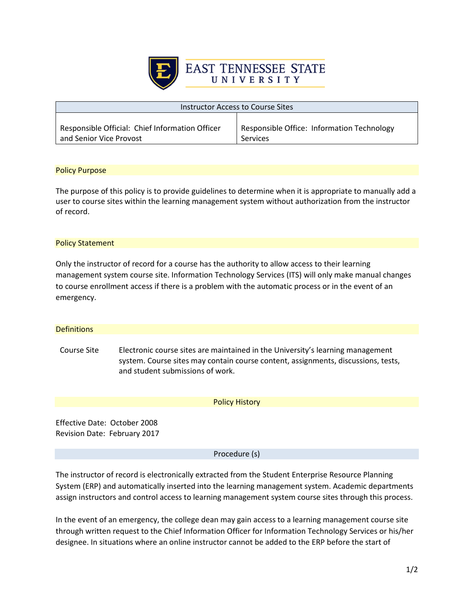

| Instructor Access to Course Sites               |                                                   |
|-------------------------------------------------|---------------------------------------------------|
| Responsible Official: Chief Information Officer | <b>Responsible Office: Information Technology</b> |
| and Senior Vice Provost                         | Services                                          |

## Policy Purpose

The purpose of this policy is to provide guidelines to determine when it is appropriate to manually add a user to course sites within the learning management system without authorization from the instructor of record.

## Policy Statement

Only the instructor of record for a course has the authority to allow access to their learning management system course site. Information Technology Services (ITS) will only make manual changes to course enrollment access if there is a problem with the automatic process or in the event of an emergency.

| <b>Definitions</b>                                           |                                                                                                                                                                                                         |
|--------------------------------------------------------------|---------------------------------------------------------------------------------------------------------------------------------------------------------------------------------------------------------|
| Course Site                                                  | Electronic course sites are maintained in the University's learning management<br>system. Course sites may contain course content, assignments, discussions, tests,<br>and student submissions of work. |
|                                                              | <b>Policy History</b>                                                                                                                                                                                   |
| Effective Date: October 2008<br>Revision Date: February 2017 |                                                                                                                                                                                                         |

Procedure (s)

The instructor of record is electronically extracted from the Student Enterprise Resource Planning System (ERP) and automatically inserted into the learning management system. Academic departments assign instructors and control access to learning management system course sites through this process.

In the event of an emergency, the college dean may gain access to a learning management course site through written request to the Chief Information Officer for Information Technology Services or his/her designee. In situations where an online instructor cannot be added to the ERP before the start of